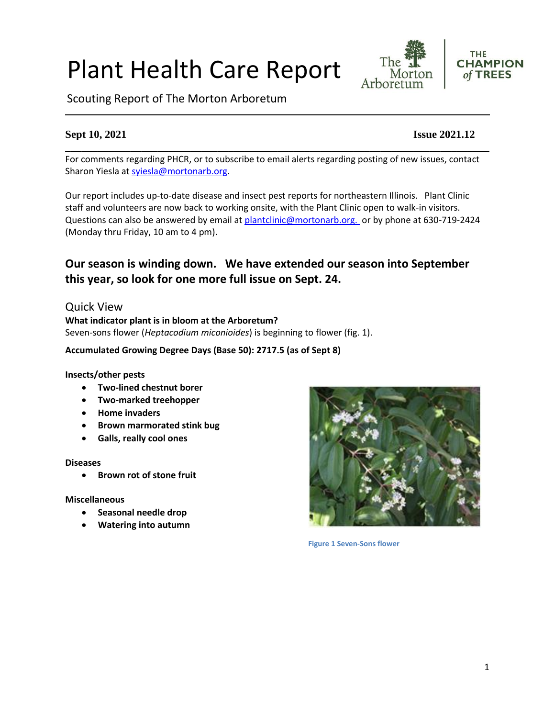# Plant Health Care Report

Scouting Report of The Morton Arboretum

For comments regarding PHCR, or to subscribe to email alerts regarding posting of new issues, contact Sharon Yiesla at [syiesla@mortonarb.org.](mailto:syiesla@mortonarb.org)

Our report includes up-to-date disease and insect pest reports for northeastern Illinois. Plant Clinic staff and volunteers are now back to working onsite, with the Plant Clinic open to walk-in visitors. Questions can also be answered by email at [plantclinic@mortonarb.org.](mailto:plantclinic@mortonarb.org) or by phone at 630-719-2424 (Monday thru Friday, 10 am to 4 pm).

# **Our season is winding down. We have extended our season into September this year, so look for one more full issue on Sept. 24.**

# Quick View

**What indicator plant is in bloom at the Arboretum?** Seven-sons flower (*Heptacodium miconioides*) is beginning to flower (fig. 1).

#### **Accumulated Growing Degree Days (Base 50): 2717.5 (as of Sept 8)**

#### **Insects/other pests**

- **Two-lined chestnut borer**
- **Two-marked treehopper**
- **Home invaders**
- **Brown marmorated stink bug**
- **Galls, really cool ones**

#### **Diseases**

• **Brown rot of stone fruit**

#### **Miscellaneous**

- **Seasonal needle drop**
- **Watering into autumn**



**Figure 1 Seven-Sons flower**



The

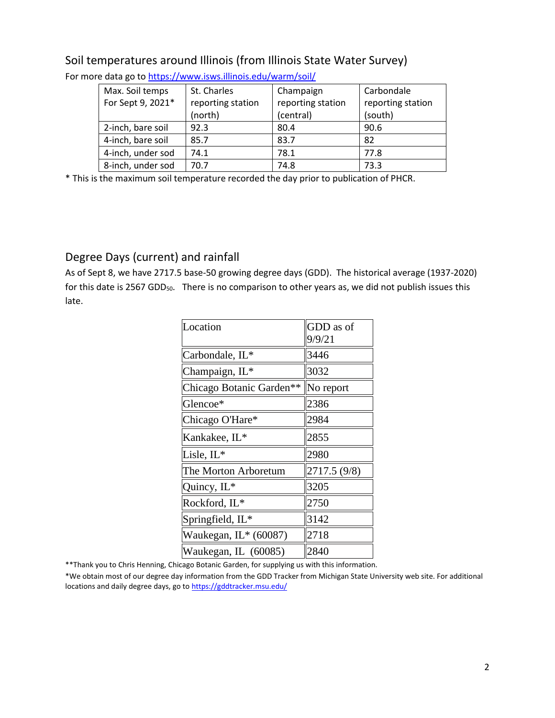| Max. Soil temps   | St. Charles       | Champaign         | Carbondale        |
|-------------------|-------------------|-------------------|-------------------|
| For Sept 9, 2021* | reporting station | reporting station | reporting station |
|                   | (north)           | (central)         | (south)           |
| 2-inch, bare soil | 92.3              | 80.4              | 90.6              |
| 4-inch, bare soil | 85.7              | 83.7              | 82                |
| 4-inch, under sod | 74.1              | 78.1              | 77.8              |
| 8-inch, under sod | 70.7              | 74.8              | 73.3              |

# Soil temperatures around Illinois (from Illinois State Water Survey)

For more data go t[o https://www.isws.illinois.edu/warm/soil/](https://www.isws.illinois.edu/warm/soil/)

\* This is the maximum soil temperature recorded the day prior to publication of PHCR.

# Degree Days (current) and rainfall

As of Sept 8, we have 2717.5 base-50 growing degree days (GDD). The historical average (1937-2020) for this date is 2567 GDD $_{50}$ . There is no comparison to other years as, we did not publish issues this late.

| Location                 | GDD as of<br>9/9/21 |
|--------------------------|---------------------|
| Carbondale, IL*          | 3446                |
| Champaign, IL*           | 3032                |
| Chicago Botanic Garden** | No report           |
| Glencoe*                 | 2386                |
| Chicago O'Hare*          | 2984                |
| Kankakee, IL*            | 2855                |
| Lisle, IL*               | 2980                |
| The Morton Arboretum     | 2717.5 (9/8)        |
| Quincy, IL*              | 3205                |
| Rockford, IL*            | 2750                |
| Springfield, IL*         | 3142                |
| Waukegan, $IL*(60087)$   | 2718                |
| Waukegan, IL (60085)     | 2840                |

\*\*Thank you to Chris Henning, Chicago Botanic Garden, for supplying us with this information.

\*We obtain most of our degree day information from the GDD Tracker from Michigan State University web site. For additional locations and daily degree days, go to <https://gddtracker.msu.edu/>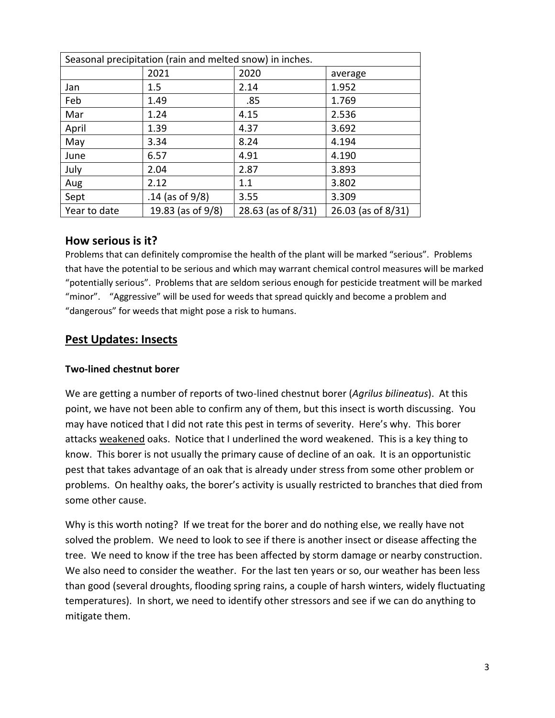| Seasonal precipitation (rain and melted snow) in inches. |                    |                    |                    |
|----------------------------------------------------------|--------------------|--------------------|--------------------|
|                                                          | 2021               | 2020               | average            |
| Jan                                                      | 1.5                | 2.14               | 1.952              |
| Feb                                                      | 1.49               | .85                | 1.769              |
| Mar                                                      | 1.24               | 4.15               | 2.536              |
| April                                                    | 1.39               | 4.37               | 3.692              |
| May                                                      | 3.34               | 8.24               | 4.194              |
| June                                                     | 6.57               | 4.91               | 4.190              |
| July                                                     | 2.04               | 2.87               | 3.893              |
| Aug                                                      | 2.12               | 1.1                | 3.802              |
| Sept                                                     | .14 (as of $9/8$ ) | 3.55               | 3.309              |
| Year to date                                             | 19.83 (as of 9/8)  | 28.63 (as of 8/31) | 26.03 (as of 8/31) |

### **How serious is it?**

Problems that can definitely compromise the health of the plant will be marked "serious".Problems that have the potential to be serious and which may warrant chemical control measures will be marked "potentially serious". Problems that are seldom serious enough for pesticide treatment will be marked "minor". "Aggressive" will be used for weeds that spread quickly and become a problem and "dangerous" for weeds that might pose a risk to humans.

### **Pest Updates: Insects**

#### **Two-lined chestnut borer**

We are getting a number of reports of two-lined chestnut borer (*Agrilus bilineatus*). At this point, we have not been able to confirm any of them, but this insect is worth discussing. You may have noticed that I did not rate this pest in terms of severity. Here's why. This borer attacks weakened oaks. Notice that I underlined the word weakened. This is a key thing to know. This borer is not usually the primary cause of decline of an oak. It is an opportunistic pest that takes advantage of an oak that is already under stress from some other problem or problems. On healthy oaks, the borer's activity is usually restricted to branches that died from some other cause.

Why is this worth noting? If we treat for the borer and do nothing else, we really have not solved the problem. We need to look to see if there is another insect or disease affecting the tree. We need to know if the tree has been affected by storm damage or nearby construction. We also need to consider the weather. For the last ten years or so, our weather has been less than good (several droughts, flooding spring rains, a couple of harsh winters, widely fluctuating temperatures). In short, we need to identify other stressors and see if we can do anything to mitigate them.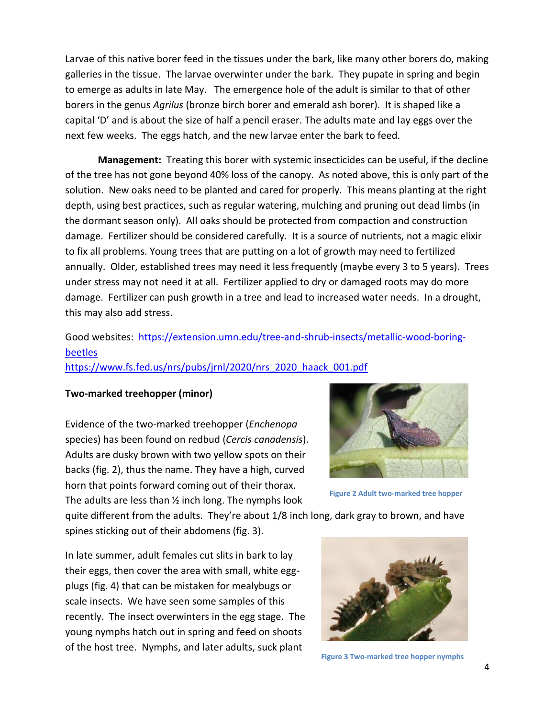Larvae of this native borer feed in the tissues under the bark, like many other borers do, making galleries in the tissue. The larvae overwinter under the bark. They pupate in spring and begin to emerge as adults in late May. The emergence hole of the adult is similar to that of other borers in the genus *Agrilus* (bronze birch borer and emerald ash borer). It is shaped like a capital 'D' and is about the size of half a pencil eraser. The adults mate and lay eggs over the next few weeks. The eggs hatch, and the new larvae enter the bark to feed.

**Management:** Treating this borer with systemic insecticides can be useful, if the decline of the tree has not gone beyond 40% loss of the canopy. As noted above, this is only part of the solution. New oaks need to be planted and cared for properly. This means planting at the right depth, using best practices, such as regular watering, mulching and pruning out dead limbs (in the dormant season only). All oaks should be protected from compaction and construction damage. Fertilizer should be considered carefully. It is a source of nutrients, not a magic elixir to fix all problems. Young trees that are putting on a lot of growth may need to fertilized annually. Older, established trees may need it less frequently (maybe every 3 to 5 years). Trees under stress may not need it at all. Fertilizer applied to dry or damaged roots may do more damage. Fertilizer can push growth in a tree and lead to increased water needs. In a drought, this may also add stress.

# Good websites: [https://extension.umn.edu/tree-and-shrub-insects/metallic-wood-boring](https://extension.umn.edu/tree-and-shrub-insects/metallic-wood-boring-beetles)[beetles](https://extension.umn.edu/tree-and-shrub-insects/metallic-wood-boring-beetles)

#### [https://www.fs.fed.us/nrs/pubs/jrnl/2020/nrs\\_2020\\_haack\\_001.pdf](https://www.fs.fed.us/nrs/pubs/jrnl/2020/nrs_2020_haack_001.pdf)

#### **Two-marked treehopper (minor)**

Evidence of the two-marked treehopper (*Enchenopa*  species) has been found on redbud (*Cercis canadensis*). Adults are dusky brown with two yellow spots on their backs (fig. 2), thus the name. They have a high, curved horn that points forward coming out of their thorax. The adults are less than ½ inch long. The nymphs look



**Figure 2 Adult two-marked tree hopper**

quite different from the adults. They're about 1/8 inch long, dark gray to brown, and have spines sticking out of their abdomens (fig. 3).

In late summer, adult females cut slits in bark to lay their eggs, then cover the area with small, white eggplugs (fig. 4) that can be mistaken for mealybugs or scale insects. We have seen some samples of this recently. The insect overwinters in the egg stage. The young nymphs hatch out in spring and feed on shoots of the host tree. Nymphs, and later adults, suck plant



**Figure 3 Two-marked tree hopper nymphs**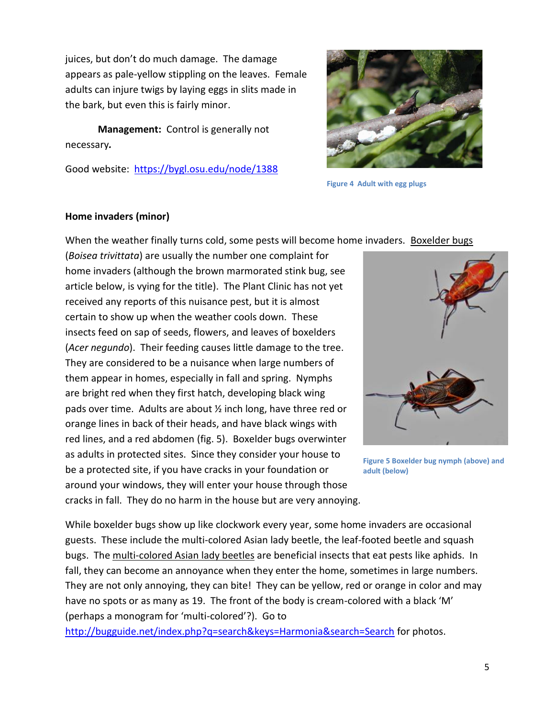juices, but don't do much damage. The damage appears as pale-yellow stippling on the leaves. Female adults can injure twigs by laying eggs in slits made in the bark, but even this is fairly minor.

**Management:** Control is generally not necessary*.* 

Good website: <https://bygl.osu.edu/node/1388>



**Figure 4 Adult with egg plugs**

#### **Home invaders (minor)**

When the weather finally turns cold, some pests will become home invaders. Boxelder bugs

(*Boisea trivittata*) are usually the number one complaint for home invaders (although the brown marmorated stink bug, see article below, is vying for the title). The Plant Clinic has not yet received any reports of this nuisance pest, but it is almost certain to show up when the weather cools down. These insects feed on sap of seeds, flowers, and leaves of boxelders (*Acer negundo*). Their feeding causes little damage to the tree. They are considered to be a nuisance when large numbers of them appear in homes, especially in fall and spring. Nymphs are bright red when they first hatch, developing black wing pads over time. Adults are about ½ inch long, have three red or orange lines in back of their heads, and have black wings with red lines, and a red abdomen (fig. 5). Boxelder bugs overwinter as adults in protected sites. Since they consider your house to be a protected site, if you have cracks in your foundation or around your windows, they will enter your house through those cracks in fall. They do no harm in the house but are very annoying.



**Figure 5 Boxelder bug nymph (above) and adult (below)**

While boxelder bugs show up like clockwork every year, some home invaders are occasional guests. These include the multi-colored Asian lady beetle, the leaf-footed beetle and squash bugs. The multi-colored Asian lady beetles are beneficial insects that eat pests like aphids. In fall, they can become an annoyance when they enter the home, sometimes in large numbers. They are not only annoying, they can bite! They can be yellow, red or orange in color and may have no spots or as many as 19. The front of the body is cream-colored with a black 'M' (perhaps a monogram for 'multi-colored'?). Go to

<http://bugguide.net/index.php?q=search&keys=Harmonia&search=Search> for photos.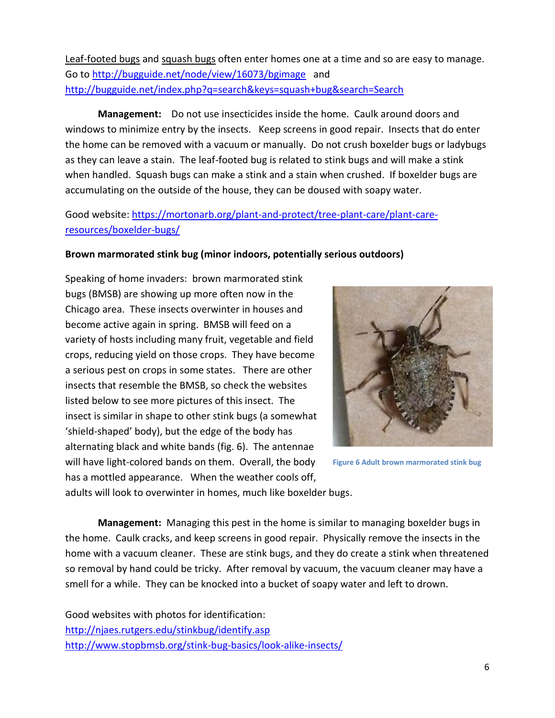Leaf-footed bugs and squash bugs often enter homes one at a time and so are easy to manage. Go t[o http://bugguide.net/node/view/16073/bgimage](http://bugguide.net/node/view/16073/bgimage) and <http://bugguide.net/index.php?q=search&keys=squash+bug&search=Search>

**Management:** Do not use insecticides inside the home. Caulk around doors and windows to minimize entry by the insects. Keep screens in good repair. Insects that do enter the home can be removed with a vacuum or manually. Do not crush boxelder bugs or ladybugs as they can leave a stain. The leaf-footed bug is related to stink bugs and will make a stink when handled. Squash bugs can make a stink and a stain when crushed. If boxelder bugs are accumulating on the outside of the house, they can be doused with soapy water.

Good website: [https://mortonarb.org/plant-and-protect/tree-plant-care/plant-care](https://mortonarb.org/plant-and-protect/tree-plant-care/plant-care-resources/boxelder-bugs/)[resources/boxelder-bugs/](https://mortonarb.org/plant-and-protect/tree-plant-care/plant-care-resources/boxelder-bugs/)

#### **Brown marmorated stink bug (minor indoors, potentially serious outdoors)**

Speaking of home invaders: brown marmorated stink bugs (BMSB) are showing up more often now in the Chicago area. These insects overwinter in houses and become active again in spring. BMSB will feed on a variety of hosts including many fruit, vegetable and field crops, reducing yield on those crops. They have become a serious pest on crops in some states. There are other insects that resemble the BMSB, so check the websites listed below to see more pictures of this insect. The insect is similar in shape to other stink bugs (a somewhat 'shield-shaped' body), but the edge of the body has alternating black and white bands (fig. 6). The antennae will have light-colored bands on them. Overall, the body has a mottled appearance. When the weather cools off,



**Figure 6 Adult brown marmorated stink bug**

adults will look to overwinter in homes, much like boxelder bugs.

**Management:** Managing this pest in the home is similar to managing boxelder bugs in the home. Caulk cracks, and keep screens in good repair. Physically remove the insects in the home with a vacuum cleaner. These are stink bugs, and they do create a stink when threatened so removal by hand could be tricky. After removal by vacuum, the vacuum cleaner may have a smell for a while. They can be knocked into a bucket of soapy water and left to drown.

Good websites with photos for identification: <http://njaes.rutgers.edu/stinkbug/identify.asp> <http://www.stopbmsb.org/stink-bug-basics/look-alike-insects/>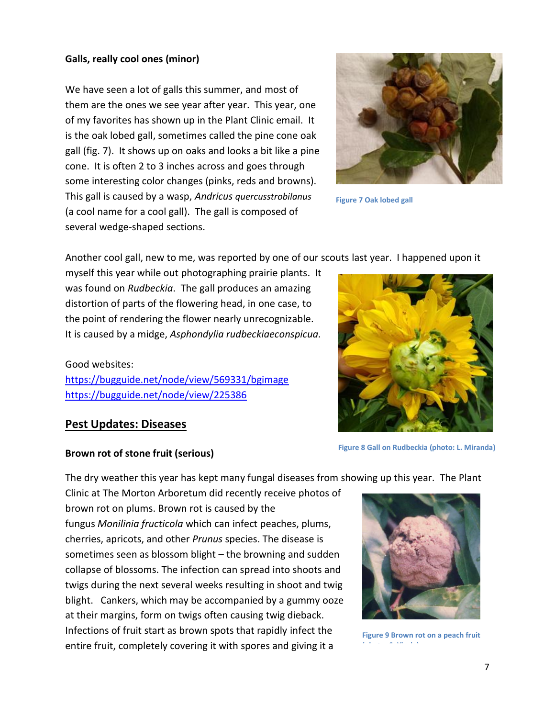#### **Galls, really cool ones (minor)**

We have seen a lot of galls this summer, and most of them are the ones we see year after year. This year, one of my favorites has shown up in the Plant Clinic email. It is the oak lobed gall, sometimes called the pine cone oak gall (fig. 7). It shows up on oaks and looks a bit like a pine cone. It is often 2 to 3 inches across and goes through some interesting color changes (pinks, reds and browns). This gall is caused by a wasp, *Andricus quercusstrobilanus* (a cool name for a cool gall). The gall is composed of several wedge-shaped sections.



**Figure 7 Oak lobed gall**

Another cool gall, new to me, was reported by one of our scouts last year. I happened upon it

myself this year while out photographing prairie plants. It was found on *Rudbeckia*. The gall produces an amazing distortion of parts of the flowering head, in one case, to the point of rendering the flower nearly unrecognizable. It is caused by a midge, *Asphondylia rudbeckiaeconspicua.*

# Good websites:

<https://bugguide.net/node/view/569331/bgimage> <https://bugguide.net/node/view/225386>



# **Pest Updates: Diseases**

#### **Brown rot of stone fruit (serious)**

The dry weather this year has kept many fungal diseases from showing up this year. The Plant

Clinic at The Morton Arboretum did recently receive photos of brown rot on plums. Brown rot is caused by the fungus *Monilinia fructicola* which can infect peaches, plums, cherries, apricots, and other *Prunus* species. The disease is sometimes seen as blossom blight – the browning and sudden collapse of blossoms. The infection can spread into shoots and twigs during the next several weeks resulting in shoot and twig blight. Cankers, which may be accompanied by a gummy ooze at their margins, form on twigs often causing twig dieback. Infections of fruit start as brown spots that rapidly infect the entire fruit, completely covering it with spores and giving it a

**Figure 8 Gall on Rudbeckia (photo: L. Miranda)**



**Figure 9 Brown rot on a peach fruit** 

**(photo: S. Yiesla)**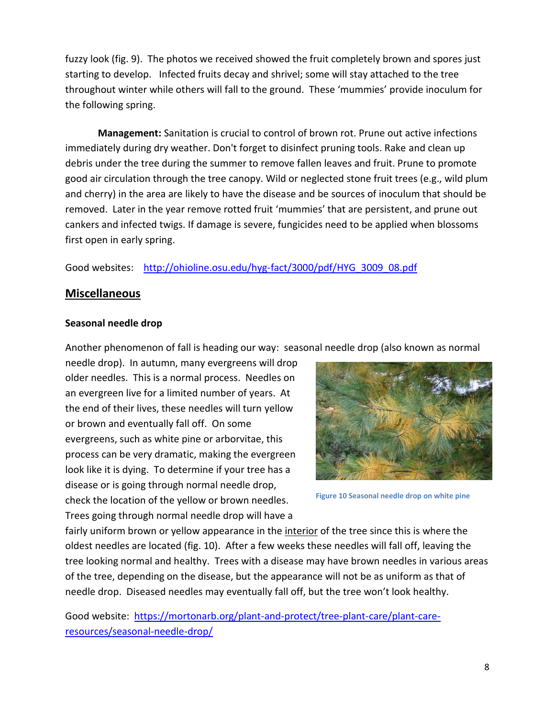fuzzy look (fig. 9). The photos we received showed the fruit completely brown and spores just starting to develop. Infected fruits decay and shrivel; some will stay attached to the tree throughout winter while others will fall to the ground. These 'mummies' provide inoculum for the following spring.

**Management:** Sanitation is crucial to control of brown rot. Prune out active infections immediately during dry weather. Don't forget to disinfect pruning tools. Rake and clean up debris under the tree during the summer to remove fallen leaves and fruit. Prune to promote good air circulation through the tree canopy. Wild or neglected stone fruit trees (e.g., wild plum and cherry) in the area are likely to have the disease and be sources of inoculum that should be removed. Later in the year remove rotted fruit 'mummies' that are persistent, and prune out cankers and infected twigs. If damage is severe, fungicides need to be applied when blossoms first open in early spring.

Good websites:[http://ohioline.osu.edu/hyg-fact/3000/pdf/HYG\\_3009\\_08.pdf](http://ohioline.osu.edu/hyg-fact/3000/pdf/HYG_3009_08.pdf)

# **Miscellaneous**

#### **Seasonal needle drop**

Another phenomenon of fall is heading our way: seasonal needle drop (also known as normal

needle drop). In autumn, many evergreens will drop older needles. This is a normal process. Needles on an evergreen live for a limited number of years. At the end of their lives, these needles will turn yellow or brown and eventually fall off. On some evergreens, such as white pine or arborvitae, this process can be very dramatic, making the evergreen look like it is dying. To determine if your tree has a disease or is going through normal needle drop, check the location of the yellow or brown needles. Trees going through normal needle drop will have a



**Figure 10 Seasonal needle drop on white pine**

fairly uniform brown or yellow appearance in the *interior* of the tree since this is where the oldest needles are located (fig. 10). After a few weeks these needles will fall off, leaving the tree looking normal and healthy. Trees with a disease may have brown needles in various areas of the tree, depending on the disease, but the appearance will not be as uniform as that of needle drop. Diseased needles may eventually fall off, but the tree won't look healthy.

Good website: [https://mortonarb.org/plant-and-protect/tree-plant-care/plant-care](https://mortonarb.org/plant-and-protect/tree-plant-care/plant-care-resources/seasonal-needle-drop/)[resources/seasonal-needle-drop/](https://mortonarb.org/plant-and-protect/tree-plant-care/plant-care-resources/seasonal-needle-drop/)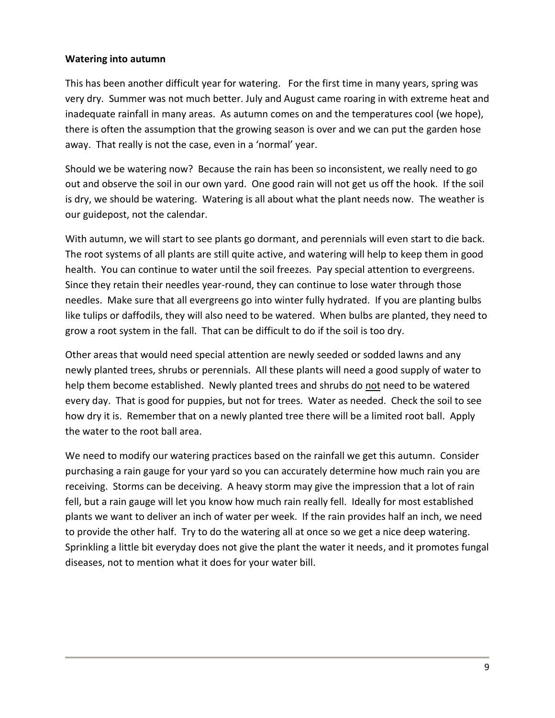#### **Watering into autumn**

This has been another difficult year for watering. For the first time in many years, spring was very dry. Summer was not much better. July and August came roaring in with extreme heat and inadequate rainfall in many areas. As autumn comes on and the temperatures cool (we hope), there is often the assumption that the growing season is over and we can put the garden hose away. That really is not the case, even in a 'normal' year.

Should we be watering now? Because the rain has been so inconsistent, we really need to go out and observe the soil in our own yard. One good rain will not get us off the hook. If the soil is dry, we should be watering. Watering is all about what the plant needs now. The weather is our guidepost, not the calendar.

With autumn, we will start to see plants go dormant, and perennials will even start to die back. The root systems of all plants are still quite active, and watering will help to keep them in good health. You can continue to water until the soil freezes. Pay special attention to evergreens. Since they retain their needles year-round, they can continue to lose water through those needles. Make sure that all evergreens go into winter fully hydrated. If you are planting bulbs like tulips or daffodils, they will also need to be watered. When bulbs are planted, they need to grow a root system in the fall. That can be difficult to do if the soil is too dry.

Other areas that would need special attention are newly seeded or sodded lawns and any newly planted trees, shrubs or perennials. All these plants will need a good supply of water to help them become established. Newly planted trees and shrubs do not need to be watered every day. That is good for puppies, but not for trees. Water as needed. Check the soil to see how dry it is. Remember that on a newly planted tree there will be a limited root ball. Apply the water to the root ball area.

We need to modify our watering practices based on the rainfall we get this autumn. Consider purchasing a rain gauge for your yard so you can accurately determine how much rain you are receiving. Storms can be deceiving. A heavy storm may give the impression that a lot of rain fell, but a rain gauge will let you know how much rain really fell. Ideally for most established plants we want to deliver an inch of water per week. If the rain provides half an inch, we need to provide the other half. Try to do the watering all at once so we get a nice deep watering. Sprinkling a little bit everyday does not give the plant the water it needs, and it promotes fungal diseases, not to mention what it does for your water bill.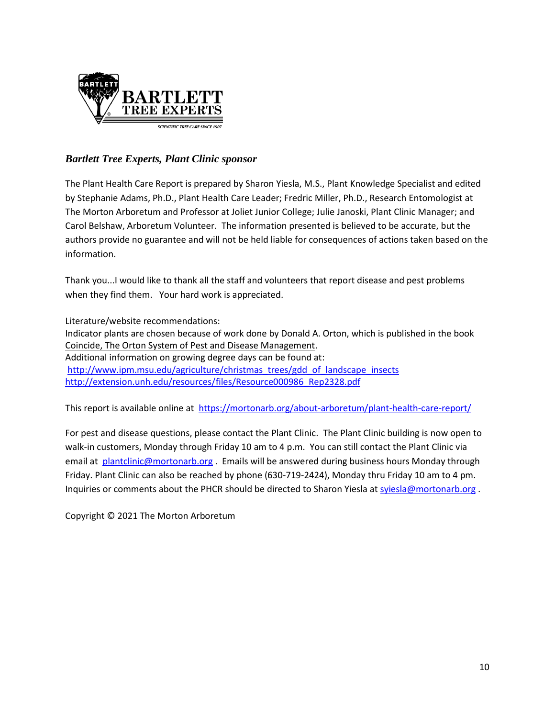

# *Bartlett Tree Experts, Plant Clinic sponsor*

The Plant Health Care Report is prepared by Sharon Yiesla, M.S., Plant Knowledge Specialist and edited by Stephanie Adams, Ph.D., Plant Health Care Leader; Fredric Miller, Ph.D., Research Entomologist at The Morton Arboretum and Professor at Joliet Junior College; Julie Janoski, Plant Clinic Manager; and Carol Belshaw, Arboretum Volunteer. The information presented is believed to be accurate, but the authors provide no guarantee and will not be held liable for consequences of actions taken based on the information.

Thank you...I would like to thank all the staff and volunteers that report disease and pest problems when they find them. Your hard work is appreciated.

Literature/website recommendations: Indicator plants are chosen because of work done by Donald A. Orton, which is published in the book Coincide, The Orton System of Pest and Disease Management. Additional information on growing degree days can be found at: [http://www.ipm.msu.edu/agriculture/christmas\\_trees/gdd\\_of\\_landscape\\_insects](http://www.ipm.msu.edu/agriculture/christmas_trees/gdd_of_landscape_insects) [http://extension.unh.edu/resources/files/Resource000986\\_Rep2328.pdf](http://extension.unh.edu/resources/files/Resource000986_Rep2328.pdf)

This report is available online at <https://mortonarb.org/about-arboretum/plant-health-care-report/>

For pest and disease questions, please contact the Plant Clinic. The Plant Clinic building is now open to walk-in customers, Monday through Friday 10 am to 4 p.m. You can still contact the Plant Clinic via email at [plantclinic@mortonarb.org](mailto:plantclinic@mortonarb.org) . Emails will be answered during business hours Monday through Friday. Plant Clinic can also be reached by phone (630-719-2424), Monday thru Friday 10 am to 4 pm. Inquiries or comments about the PHCR should be directed to Sharon Yiesla a[t syiesla@mortonarb.org](mailto:syiesla@mortonarb.org).

Copyright © 2021 The Morton Arboretum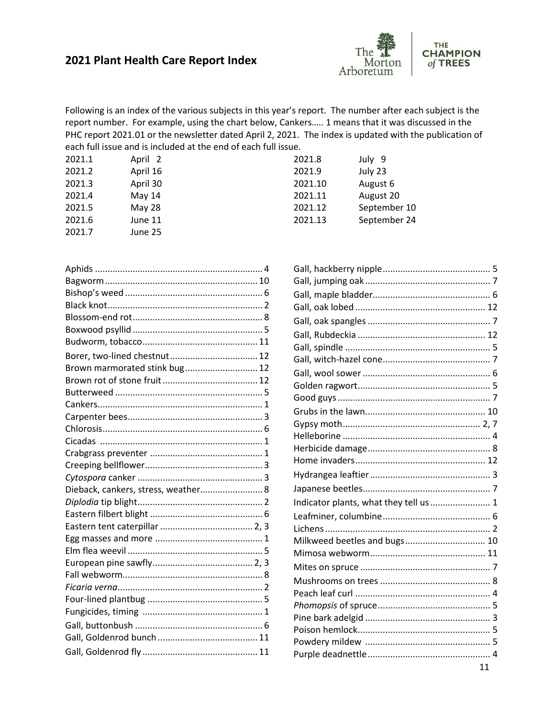# **2021 Plant Health Care Report Index**



Following is an index of the various subjects in this year's report. The number after each subject is the report number. For example, using the chart below, Cankers….. 1 means that it was discussed in the PHC report 2021.01 or the newsletter dated April 2, 2021. The index is updated with the publication of each full issue and is included at the end of each full issue.

| 2021.1 | April 2  | 2021.8  | July 9       |
|--------|----------|---------|--------------|
| 2021.2 | April 16 | 2021.9  | July 23      |
| 2021.3 | April 30 | 2021.10 | August 6     |
| 2021.4 | May 14   | 2021.11 | August 20    |
| 2021.5 | May 28   | 2021.12 | September 10 |
| 2021.6 | June 11  | 2021.13 | September 24 |
| 2021.7 | June 25  |         |              |

| Indicator plants, what they tell us  1 |  |
|----------------------------------------|--|
|                                        |  |
|                                        |  |
| Milkweed beetles and bugs 10           |  |
|                                        |  |
|                                        |  |
|                                        |  |
|                                        |  |
|                                        |  |
|                                        |  |
|                                        |  |
|                                        |  |
|                                        |  |